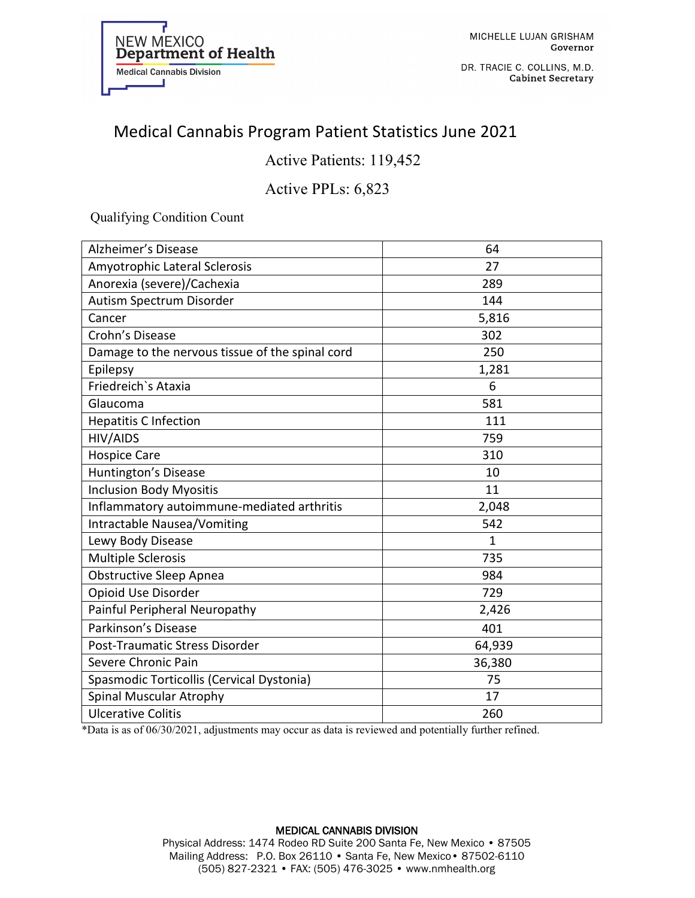

DR. TRACIE C. COLLINS, M.D. **Cabinet Secretary** 

## Medical Cannabis Program Patient Statistics June 2021

Active Patients: 119,452

### Active PPLs: 6,823

Qualifying Condition Count

| <b>Alzheimer's Disease</b>                      | 64           |
|-------------------------------------------------|--------------|
| Amyotrophic Lateral Sclerosis                   | 27           |
| Anorexia (severe)/Cachexia                      | 289          |
| Autism Spectrum Disorder                        | 144          |
| Cancer                                          | 5,816        |
| Crohn's Disease                                 | 302          |
| Damage to the nervous tissue of the spinal cord | 250          |
| Epilepsy                                        | 1,281        |
| Friedreich's Ataxia                             | 6            |
| Glaucoma                                        | 581          |
| <b>Hepatitis C Infection</b>                    | 111          |
| <b>HIV/AIDS</b>                                 | 759          |
| <b>Hospice Care</b>                             | 310          |
| Huntington's Disease                            | 10           |
| <b>Inclusion Body Myositis</b>                  | 11           |
| Inflammatory autoimmune-mediated arthritis      | 2,048        |
| <b>Intractable Nausea/Vomiting</b>              | 542          |
| Lewy Body Disease                               | $\mathbf{1}$ |
| <b>Multiple Sclerosis</b>                       | 735          |
| Obstructive Sleep Apnea                         | 984          |
| Opioid Use Disorder                             | 729          |
| Painful Peripheral Neuropathy                   | 2,426        |
| Parkinson's Disease                             | 401          |
| Post-Traumatic Stress Disorder                  | 64,939       |
| Severe Chronic Pain                             | 36,380       |
| Spasmodic Torticollis (Cervical Dystonia)       | 75           |
| Spinal Muscular Atrophy                         | 17           |
| <b>Ulcerative Colitis</b>                       | 260          |

\*Data is as of 06/30/2021, adjustments may occur as data is reviewed and potentially further refined.

#### MEDICAL CANNABIS DIVISION Physical Address: 1474 Rodeo RD Suite 200 Santa Fe, New Mexico • 87505 Mailing Address: P.O. Box 26110 • Santa Fe, New Mexico• 87502-6110 (505) 827-2321 • FAX: (505) 476-3025 • www.nmhealth.org